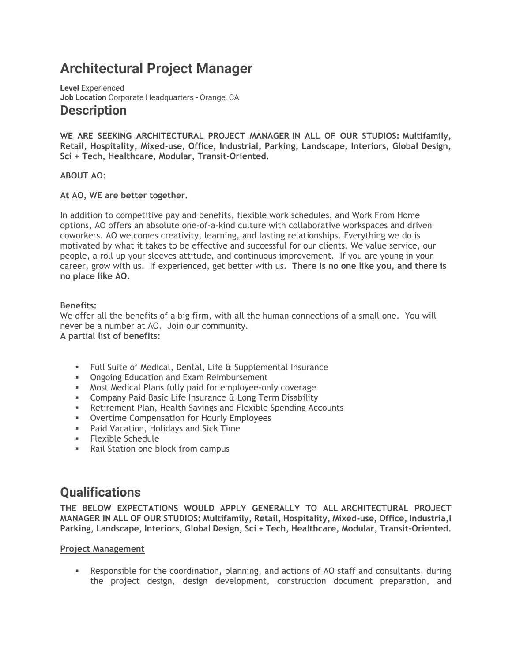# **Architectural Project Manager**

**Level** Experienced **Job Location** Corporate Headquarters - Orange, CA **Description**

**WE ARE SEEKING ARCHITECTURAL PROJECT MANAGER IN ALL OF OUR STUDIOS: Multifamily, Retail, Hospitality, Mixed-use, Office, Industrial, Parking, Landscape, Interiors, Global Design, Sci + Tech, Healthcare, Modular, Transit-Oriented.**

#### **ABOUT AO:**

#### **At AO, WE are better together.**

In addition to competitive pay and benefits, flexible work schedules, and Work From Home options, AO offers an absolute one-of-a-kind culture with collaborative workspaces and driven coworkers. AO welcomes creativity, learning, and lasting relationships. Everything we do is motivated by what it takes to be effective and successful for our clients. We value service, our people, a roll up your sleeves attitude, and continuous improvement. If you are young in your career, grow with us. If experienced, get better with us. **There is no one like you, and there is no place like AO.**

#### **Benefits:**

We offer all the benefits of a big firm, with all the human connections of a small one. You will never be a number at AO. Join our community. **A partial list of benefits:**

- Full Suite of Medical, Dental, Life & Supplemental Insurance
- **Ongoing Education and Exam Reimbursement**
- **■** Most Medical Plans fully paid for employee-only coverage
- **EXEDENCE THE COMPANY PAID BASIC Life Insurance & Long Term Disability**
- **EXECT:** Retirement Plan, Health Savings and Flexible Spending Accounts
- **Overtime Compensation for Hourly Employees**
- Paid Vacation, Holidays and Sick Time
- **Elexible Schedule**
- Rail Station one block from campus

# **Qualifications**

**THE BELOW EXPECTATIONS WOULD APPLY GENERALLY TO ALL ARCHITECTURAL PROJECT MANAGER IN ALL OF OUR STUDIOS: Multifamily, Retail, Hospitality, Mixed-use, Office, Industria,l Parking, Landscape, Interiors, Global Design, Sci + Tech, Healthcare, Modular, Transit-Oriented.**

#### **Project Management**

**•** Responsible for the coordination, planning, and actions of AO staff and consultants, during the project design, design development, construction document preparation, and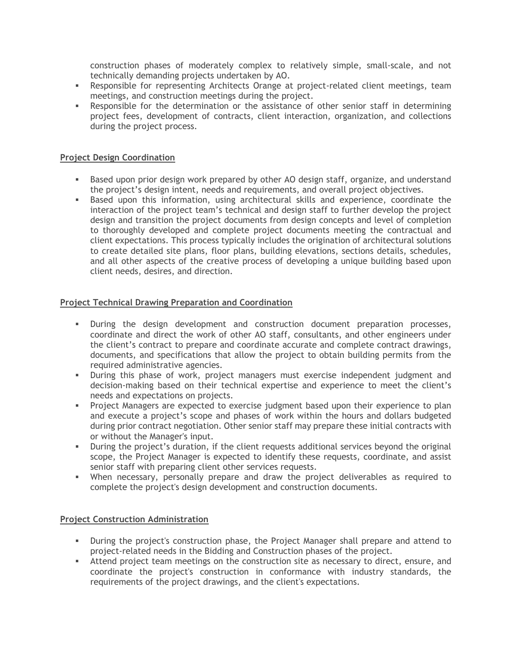construction phases of moderately complex to relatively simple, small-scale, and not technically demanding projects undertaken by AO.

- **EXECT** Responsible for representing Architects Orange at project-related client meetings, team meetings, and construction meetings during the project.
- **•** Responsible for the determination or the assistance of other senior staff in determining project fees, development of contracts, client interaction, organization, and collections during the project process.

## **Project Design Coordination**

- **EXECT** Based upon prior design work prepared by other AO design staff, organize, and understand the project's design intent, needs and requirements, and overall project objectives.
- **•** Based upon this information, using architectural skills and experience, coordinate the interaction of the project team's technical and design staff to further develop the project design and transition the project documents from design concepts and level of completion to thoroughly developed and complete project documents meeting the contractual and client expectations. This process typically includes the origination of architectural solutions to create detailed site plans, floor plans, building elevations, sections details, schedules, and all other aspects of the creative process of developing a unique building based upon client needs, desires, and direction.

# **Project Technical Drawing Preparation and Coordination**

- During the design development and construction document preparation processes, coordinate and direct the work of other AO staff, consultants, and other engineers under the client's contract to prepare and coordinate accurate and complete contract drawings, documents, and specifications that allow the project to obtain building permits from the required administrative agencies.
- During this phase of work, project managers must exercise independent judgment and decision-making based on their technical expertise and experience to meet the client's needs and expectations on projects.
- **•** Project Managers are expected to exercise judgment based upon their experience to plan and execute a project's scope and phases of work within the hours and dollars budgeted during prior contract negotiation. Other senior staff may prepare these initial contracts with or without the Manager's input.
- **•** During the project's duration, if the client requests additional services beyond the original scope, the Project Manager is expected to identify these requests, coordinate, and assist senior staff with preparing client other services requests.
- When necessary, personally prepare and draw the project deliverables as required to complete the project's design development and construction documents.

#### **Project Construction Administration**

- During the project's construction phase, the Project Manager shall prepare and attend to project-related needs in the Bidding and Construction phases of the project.
- Attend project team meetings on the construction site as necessary to direct, ensure, and coordinate the project's construction in conformance with industry standards, the requirements of the project drawings, and the client's expectations.